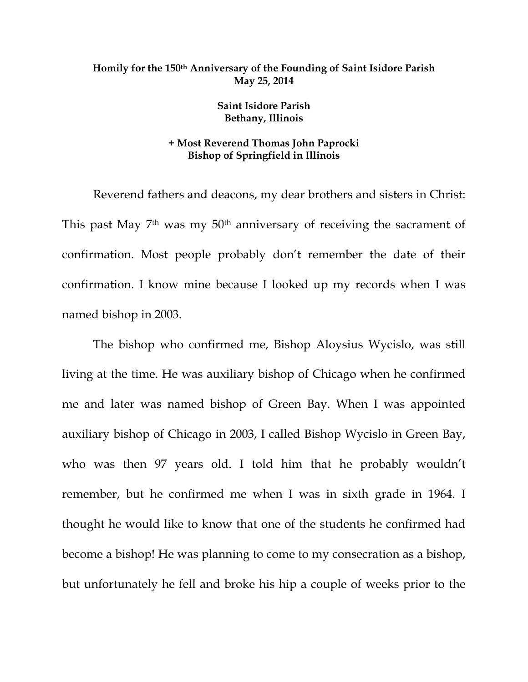## **Homily for the 150th Anniversary of the Founding of Saint Isidore Parish May 25, 2014**

## **Saint Isidore Parish Bethany, Illinois**

## **+ Most Reverend Thomas John Paprocki Bishop of Springfield in Illinois**

 Reverend fathers and deacons, my dear brothers and sisters in Christ: This past May 7<sup>th</sup> was my 50<sup>th</sup> anniversary of receiving the sacrament of confirmation. Most people probably don't remember the date of their confirmation. I know mine because I looked up my records when I was named bishop in 2003.

The bishop who confirmed me, Bishop Aloysius Wycislo, was still living at the time. He was auxiliary bishop of Chicago when he confirmed me and later was named bishop of Green Bay. When I was appointed auxiliary bishop of Chicago in 2003, I called Bishop Wycislo in Green Bay, who was then 97 years old. I told him that he probably wouldn't remember, but he confirmed me when I was in sixth grade in 1964. I thought he would like to know that one of the students he confirmed had become a bishop! He was planning to come to my consecration as a bishop, but unfortunately he fell and broke his hip a couple of weeks prior to the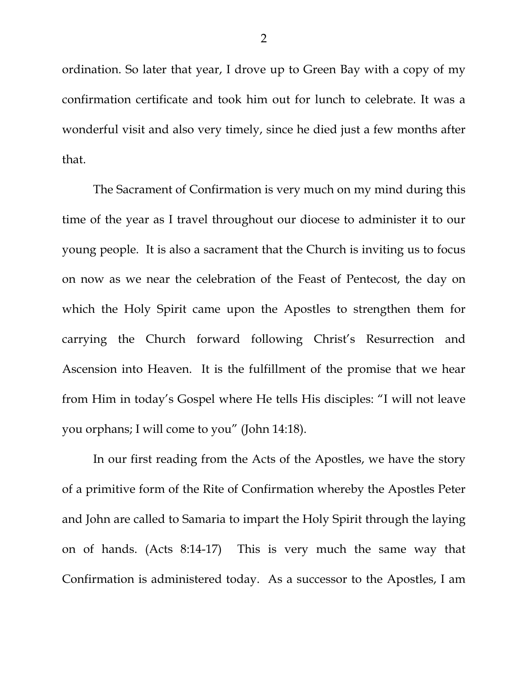ordination. So later that year, I drove up to Green Bay with a copy of my confirmation certificate and took him out for lunch to celebrate. It was a wonderful visit and also very timely, since he died just a few months after that.

The Sacrament of Confirmation is very much on my mind during this time of the year as I travel throughout our diocese to administer it to our young people. It is also a sacrament that the Church is inviting us to focus on now as we near the celebration of the Feast of Pentecost, the day on which the Holy Spirit came upon the Apostles to strengthen them for carrying the Church forward following Christ's Resurrection and Ascension into Heaven. It is the fulfillment of the promise that we hear from Him in today's Gospel where He tells His disciples: "I will not leave you orphans; I will come to you" (John 14:18).

In our first reading from the Acts of the Apostles, we have the story of a primitive form of the Rite of Confirmation whereby the Apostles Peter and John are called to Samaria to impart the Holy Spirit through the laying on of hands. (Acts 8:14-17) This is very much the same way that Confirmation is administered today. As a successor to the Apostles, I am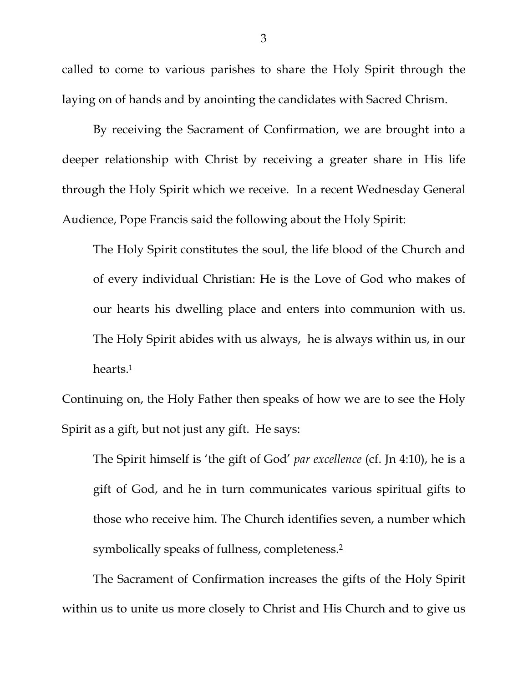called to come to various parishes to share the Holy Spirit through the laying on of hands and by anointing the candidates with Sacred Chrism.

By receiving the Sacrament of Confirmation, we are brought into a deeper relationship with Christ by receiving a greater share in His life through the Holy Spirit which we receive. In a recent Wednesday General Audience, Pope Francis said the following about the Holy Spirit:

The Holy Spirit constitutes the soul, the life blood of the Church and of every individual Christian: He is the Love of God who makes of our hearts his dwelling place and enters into communion with us. The Holy Spirit abides with us always, he is always within us, in our hearts.1

Continuing on, the Holy Father then speaks of how we are to see the Holy Spirit as a gift, but not just any gift. He says:

The Spirit himself is 'the gift of God' *par excellence* (cf. Jn 4:10), he is a gift of God, and he in turn communicates various spiritual gifts to those who receive him. The Church identifies seven, a number which symbolically speaks of fullness, completeness.2

The Sacrament of Confirmation increases the gifts of the Holy Spirit within us to unite us more closely to Christ and His Church and to give us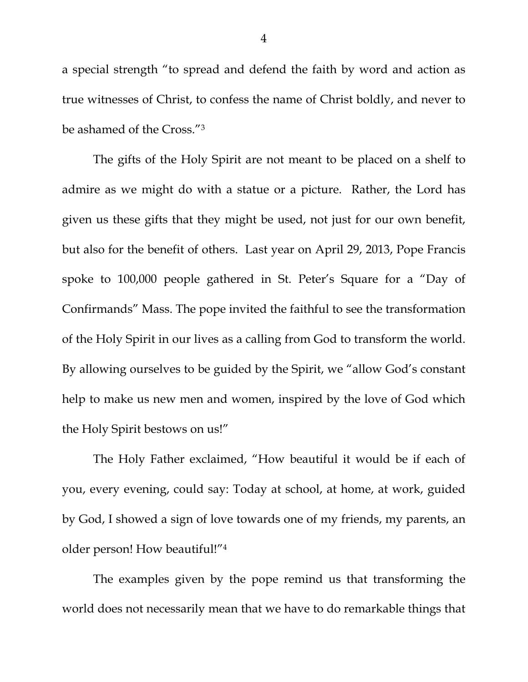a special strength "to spread and defend the faith by word and action as true witnesses of Christ, to confess the name of Christ boldly, and never to be ashamed of the Cross."3

The gifts of the Holy Spirit are not meant to be placed on a shelf to admire as we might do with a statue or a picture. Rather, the Lord has given us these gifts that they might be used, not just for our own benefit, but also for the benefit of others. Last year on April 29, 2013, Pope Francis spoke to 100,000 people gathered in St. Peter's Square for a "Day of Confirmands" Mass. The pope invited the faithful to see the transformation of the Holy Spirit in our lives as a calling from God to transform the world. By allowing ourselves to be guided by the Spirit, we "allow God's constant help to make us new men and women, inspired by the love of God which the Holy Spirit bestows on us!"

The Holy Father exclaimed, "How beautiful it would be if each of you, every evening, could say: Today at school, at home, at work, guided by God, I showed a sign of love towards one of my friends, my parents, an older person! How beautiful!"4

The examples given by the pope remind us that transforming the world does not necessarily mean that we have to do remarkable things that

4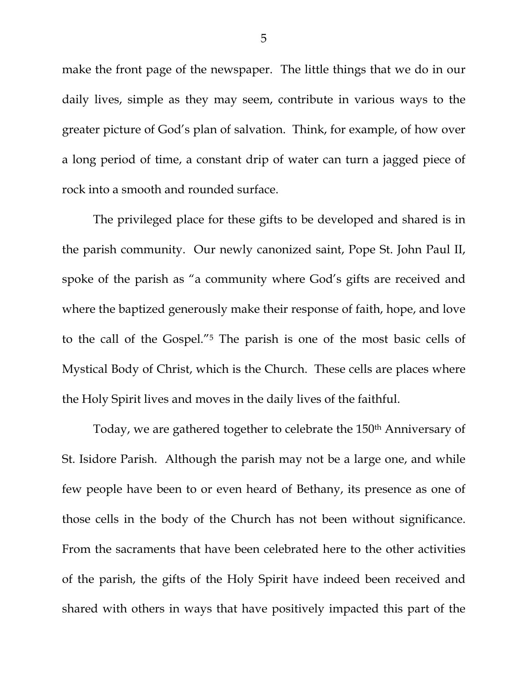make the front page of the newspaper. The little things that we do in our daily lives, simple as they may seem, contribute in various ways to the greater picture of God's plan of salvation. Think, for example, of how over a long period of time, a constant drip of water can turn a jagged piece of rock into a smooth and rounded surface.

The privileged place for these gifts to be developed and shared is in the parish community. Our newly canonized saint, Pope St. John Paul II, spoke of the parish as "a community where God's gifts are received and where the baptized generously make their response of faith, hope, and love to the call of the Gospel."5 The parish is one of the most basic cells of Mystical Body of Christ, which is the Church. These cells are places where the Holy Spirit lives and moves in the daily lives of the faithful.

Today, we are gathered together to celebrate the 150<sup>th</sup> Anniversary of St. Isidore Parish. Although the parish may not be a large one, and while few people have been to or even heard of Bethany, its presence as one of those cells in the body of the Church has not been without significance. From the sacraments that have been celebrated here to the other activities of the parish, the gifts of the Holy Spirit have indeed been received and shared with others in ways that have positively impacted this part of the